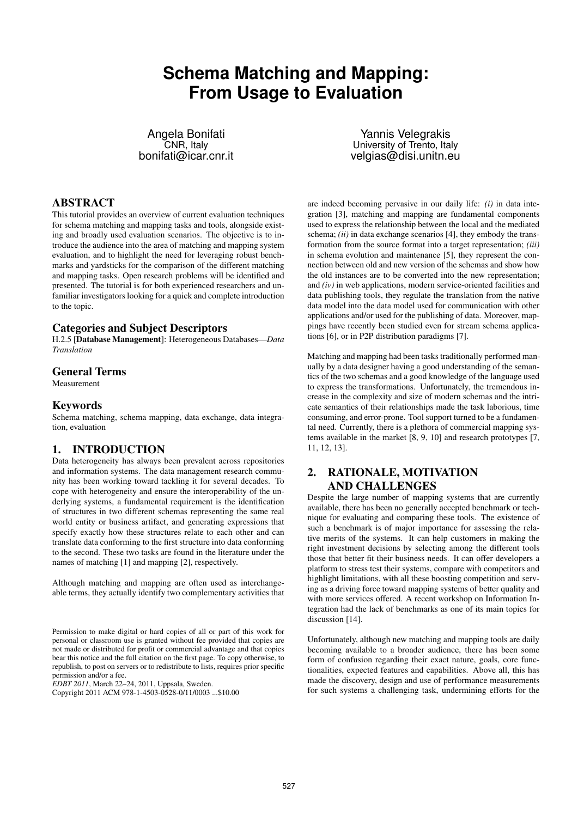# **Schema Matching and Mapping: From Usage to Evaluation**

Angela Bonifati CNR, Italy bonifati@icar.cnr.it

ABSTRACT

This tutorial provides an overview of current evaluation techniques for schema matching and mapping tasks and tools, alongside existing and broadly used evaluation scenarios. The objective is to introduce the audience into the area of matching and mapping system evaluation, and to highlight the need for leveraging robust benchmarks and yardsticks for the comparison of the different matching and mapping tasks. Open research problems will be identified and presented. The tutorial is for both experienced researchers and unfamiliar investigators looking for a quick and complete introduction to the topic.

#### Categories and Subject Descriptors

H.2.5 [Database Management]: Heterogeneous Databases—*Data Translation*

#### General Terms

Measurement

#### Keywords

Schema matching, schema mapping, data exchange, data integration, evaluation

## 1. INTRODUCTION

Data heterogeneity has always been prevalent across repositories and information systems. The data management research community has been working toward tackling it for several decades. To cope with heterogeneity and ensure the interoperability of the underlying systems, a fundamental requirement is the identification of structures in two different schemas representing the same real world entity or business artifact, and generating expressions that specify exactly how these structures relate to each other and can translate data conforming to the first structure into data conforming to the second. These two tasks are found in the literature under the names of matching [1] and mapping [2], respectively.

Although matching and mapping are often used as interchangeable terms, they actually identify two complementary activities that

*EDBT 2011*, March 22–24, 2011, Uppsala, Sweden.

Copyright 2011 ACM 978-1-4503-0528-0/11/0003 ...\$10.00

Yannis Velegrakis University of Trento, Italy velgias@disi.unitn.eu

are indeed becoming pervasive in our daily life: *(i)* in data integration [3], matching and mapping are fundamental components used to express the relationship between the local and the mediated schema; *(ii)* in data exchange scenarios [4], they embody the transformation from the source format into a target representation; *(iii)* in schema evolution and maintenance [5], they represent the connection between old and new version of the schemas and show how the old instances are to be converted into the new representation; and *(iv)* in web applications, modern service-oriented facilities and data publishing tools, they regulate the translation from the native data model into the data model used for communication with other applications and/or used for the publishing of data. Moreover, mappings have recently been studied even for stream schema applications [6], or in P2P distribution paradigms [7].

Matching and mapping had been tasks traditionally performed manually by a data designer having a good understanding of the semantics of the two schemas and a good knowledge of the language used to express the transformations. Unfortunately, the tremendous increase in the complexity and size of modern schemas and the intricate semantics of their relationships made the task laborious, time consuming, and error-prone. Tool support turned to be a fundamental need. Currently, there is a plethora of commercial mapping systems available in the market [8, 9, 10] and research prototypes [7, 11, 12, 13].

# 2. RATIONALE, MOTIVATION AND CHALLENGES

Despite the large number of mapping systems that are currently available, there has been no generally accepted benchmark or technique for evaluating and comparing these tools. The existence of such a benchmark is of major importance for assessing the relative merits of the systems. It can help customers in making the right investment decisions by selecting among the different tools those that better fit their business needs. It can offer developers a platform to stress test their systems, compare with competitors and highlight limitations, with all these boosting competition and serving as a driving force toward mapping systems of better quality and with more services offered. A recent workshop on Information Integration had the lack of benchmarks as one of its main topics for discussion [14].

Unfortunately, although new matching and mapping tools are daily becoming available to a broader audience, there has been some form of confusion regarding their exact nature, goals, core functionalities, expected features and capabilities. Above all, this has made the discovery, design and use of performance measurements for such systems a challenging task, undermining efforts for the

Permission to make digital or hard copies of all or part of this work for personal or classroom use is granted without fee provided that copies are not made or distributed for profit or commercial advantage and that copies bear this notice and the full citation on the first page. To copy otherwise, to republish, to post on servers or to redistribute to lists, requires prior specific permission and/or a fee.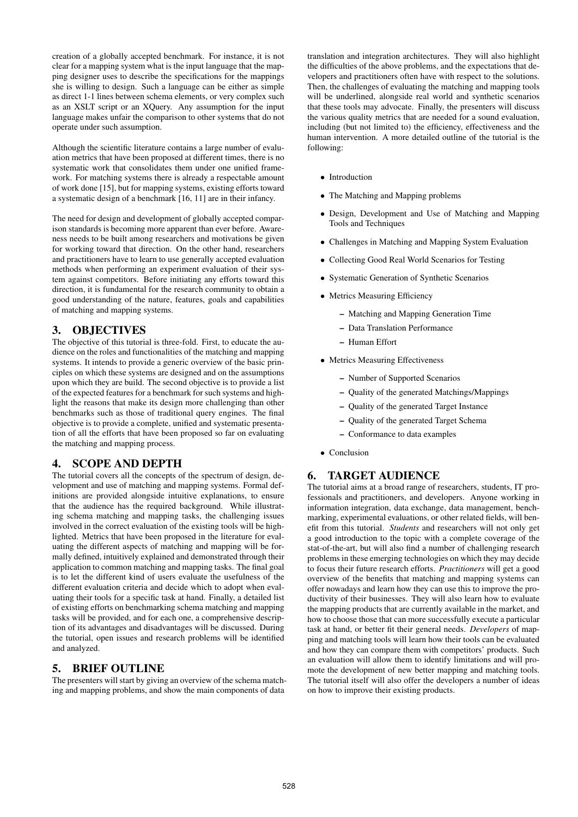creation of a globally accepted benchmark. For instance, it is not clear for a mapping system what is the input language that the mapping designer uses to describe the specifications for the mappings she is willing to design. Such a language can be either as simple as direct 1-1 lines between schema elements, or very complex such as an XSLT script or an XQuery. Any assumption for the input language makes unfair the comparison to other systems that do not operate under such assumption.

Although the scientific literature contains a large number of evaluation metrics that have been proposed at different times, there is no systematic work that consolidates them under one unified framework. For matching systems there is already a respectable amount of work done [15], but for mapping systems, existing efforts toward a systematic design of a benchmark [16, 11] are in their infancy.

The need for design and development of globally accepted comparison standards is becoming more apparent than ever before. Awareness needs to be built among researchers and motivations be given for working toward that direction. On the other hand, researchers and practitioners have to learn to use generally accepted evaluation methods when performing an experiment evaluation of their system against competitors. Before initiating any efforts toward this direction, it is fundamental for the research community to obtain a good understanding of the nature, features, goals and capabilities of matching and mapping systems.

## 3. OBJECTIVES

The objective of this tutorial is three-fold. First, to educate the audience on the roles and functionalities of the matching and mapping systems. It intends to provide a generic overview of the basic principles on which these systems are designed and on the assumptions upon which they are build. The second objective is to provide a list of the expected features for a benchmark for such systems and highlight the reasons that make its design more challenging than other benchmarks such as those of traditional query engines. The final objective is to provide a complete, unified and systematic presentation of all the efforts that have been proposed so far on evaluating the matching and mapping process.

## 4. SCOPE AND DEPTH

The tutorial covers all the concepts of the spectrum of design, development and use of matching and mapping systems. Formal definitions are provided alongside intuitive explanations, to ensure that the audience has the required background. While illustrating schema matching and mapping tasks, the challenging issues involved in the correct evaluation of the existing tools will be highlighted. Metrics that have been proposed in the literature for evaluating the different aspects of matching and mapping will be formally defined, intuitively explained and demonstrated through their application to common matching and mapping tasks. The final goal is to let the different kind of users evaluate the usefulness of the different evaluation criteria and decide which to adopt when evaluating their tools for a specific task at hand. Finally, a detailed list of existing efforts on benchmarking schema matching and mapping tasks will be provided, and for each one, a comprehensive description of its advantages and disadvantages will be discussed. During the tutorial, open issues and research problems will be identified and analyzed.

## 5. BRIEF OUTLINE

The presenters will start by giving an overview of the schema matching and mapping problems, and show the main components of data

translation and integration architectures. They will also highlight the difficulties of the above problems, and the expectations that developers and practitioners often have with respect to the solutions. Then, the challenges of evaluating the matching and mapping tools will be underlined, alongside real world and synthetic scenarios that these tools may advocate. Finally, the presenters will discuss the various quality metrics that are needed for a sound evaluation, including (but not limited to) the efficiency, effectiveness and the human intervention. A more detailed outline of the tutorial is the following:

- Introduction
- The Matching and Mapping problems
- Design, Development and Use of Matching and Mapping Tools and Techniques
- Challenges in Matching and Mapping System Evaluation
- Collecting Good Real World Scenarios for Testing
- Systematic Generation of Synthetic Scenarios
- Metrics Measuring Efficiency
	- Matching and Mapping Generation Time
	- Data Translation Performance
	- Human Effort
- Metrics Measuring Effectiveness
	- Number of Supported Scenarios
	- Quality of the generated Matchings/Mappings
	- Quality of the generated Target Instance
	- Quality of the generated Target Schema
	- Conformance to data examples
- Conclusion

## 6. TARGET AUDIENCE

The tutorial aims at a broad range of researchers, students, IT professionals and practitioners, and developers. Anyone working in information integration, data exchange, data management, benchmarking, experimental evaluations, or other related fields, will benefit from this tutorial. *Students* and researchers will not only get a good introduction to the topic with a complete coverage of the stat-of-the-art, but will also find a number of challenging research problems in these emerging technologies on which they may decide to focus their future research efforts. *Practitioners* will get a good overview of the benefits that matching and mapping systems can offer nowadays and learn how they can use this to improve the productivity of their businesses. They will also learn how to evaluate the mapping products that are currently available in the market, and how to choose those that can more successfully execute a particular task at hand, or better fit their general needs. *Developers* of mapping and matching tools will learn how their tools can be evaluated and how they can compare them with competitors' products. Such an evaluation will allow them to identify limitations and will promote the development of new better mapping and matching tools. The tutorial itself will also offer the developers a number of ideas on how to improve their existing products.